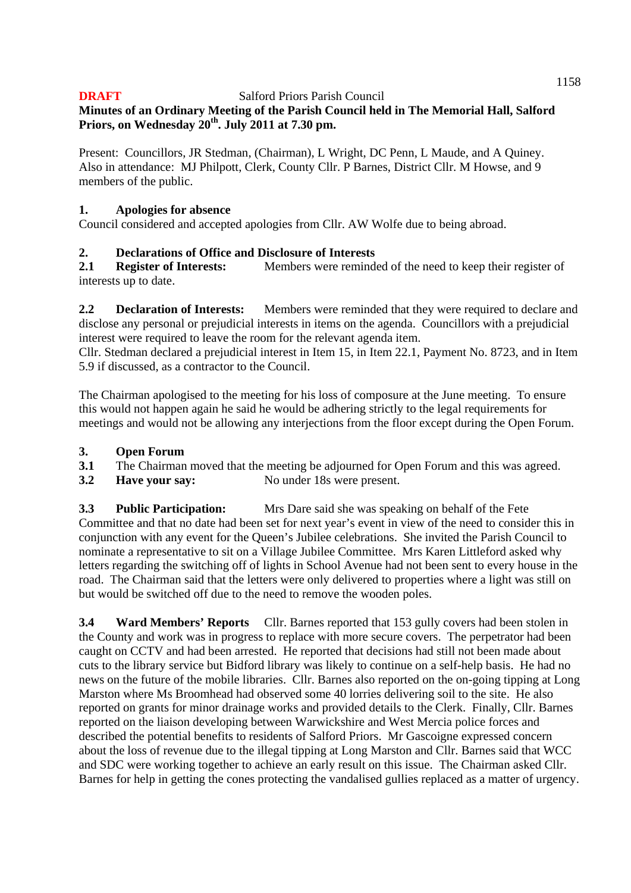# **Minutes of an Ordinary Meeting of the Parish Council held in The Memorial Hall, Salford Priors, on Wednesday 20th. July 2011 at 7.30 pm.**

Present: Councillors, JR Stedman, (Chairman), L Wright, DC Penn, L Maude, and A Quiney. Also in attendance: MJ Philpott, Clerk, County Cllr. P Barnes, District Cllr. M Howse, and 9 members of the public.

## **1. Apologies for absence**

Council considered and accepted apologies from Cllr. AW Wolfe due to being abroad.

## **2. Declarations of Office and Disclosure of Interests**

2.1 **Register of Interests:** Members were reminded of the need to keep their register of interests up to date.

**2.2 Declaration of Interests:** Members were reminded that they were required to declare and disclose any personal or prejudicial interests in items on the agenda. Councillors with a prejudicial interest were required to leave the room for the relevant agenda item.

Cllr. Stedman declared a prejudicial interest in Item 15, in Item 22.1, Payment No. 8723, and in Item 5.9 if discussed, as a contractor to the Council.

The Chairman apologised to the meeting for his loss of composure at the June meeting. To ensure this would not happen again he said he would be adhering strictly to the legal requirements for meetings and would not be allowing any interjections from the floor except during the Open Forum.

## **3. Open Forum**

- **3.1** The Chairman moved that the meeting be adjourned for Open Forum and this was agreed.
- **3.2 Have your say:** No under 18s were present.

**3.3 Public Participation:** Mrs Dare said she was speaking on behalf of the Fete Committee and that no date had been set for next year's event in view of the need to consider this in conjunction with any event for the Queen's Jubilee celebrations. She invited the Parish Council to nominate a representative to sit on a Village Jubilee Committee. Mrs Karen Littleford asked why letters regarding the switching off of lights in School Avenue had not been sent to every house in the road. The Chairman said that the letters were only delivered to properties where a light was still on but would be switched off due to the need to remove the wooden poles.

**3.4 Ward Members' Reports** Cllr. Barnes reported that 153 gully covers had been stolen in the County and work was in progress to replace with more secure covers. The perpetrator had been caught on CCTV and had been arrested. He reported that decisions had still not been made about cuts to the library service but Bidford library was likely to continue on a self-help basis. He had no news on the future of the mobile libraries. Cllr. Barnes also reported on the on-going tipping at Long Marston where Ms Broomhead had observed some 40 lorries delivering soil to the site. He also reported on grants for minor drainage works and provided details to the Clerk. Finally, Cllr. Barnes reported on the liaison developing between Warwickshire and West Mercia police forces and described the potential benefits to residents of Salford Priors. Mr Gascoigne expressed concern about the loss of revenue due to the illegal tipping at Long Marston and Cllr. Barnes said that WCC and SDC were working together to achieve an early result on this issue. The Chairman asked Cllr. Barnes for help in getting the cones protecting the vandalised gullies replaced as a matter of urgency.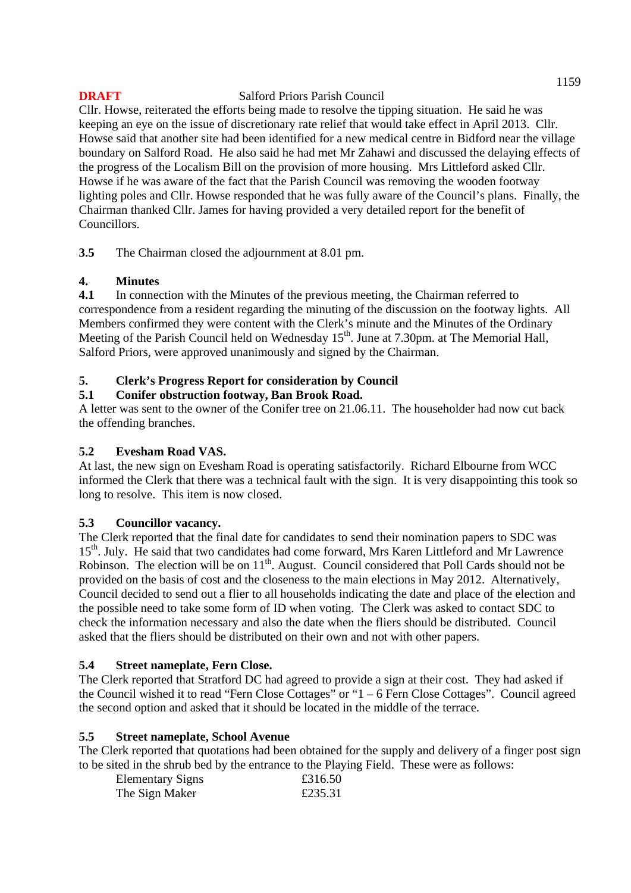Cllr. Howse, reiterated the efforts being made to resolve the tipping situation. He said he was keeping an eye on the issue of discretionary rate relief that would take effect in April 2013. Cllr. Howse said that another site had been identified for a new medical centre in Bidford near the village boundary on Salford Road. He also said he had met Mr Zahawi and discussed the delaying effects of the progress of the Localism Bill on the provision of more housing. Mrs Littleford asked Cllr. Howse if he was aware of the fact that the Parish Council was removing the wooden footway lighting poles and Cllr. Howse responded that he was fully aware of the Council's plans. Finally, the Chairman thanked Cllr. James for having provided a very detailed report for the benefit of Councillors.

**3.5** The Chairman closed the adjournment at 8.01 pm.

#### **4. Minutes**

**4.1** In connection with the Minutes of the previous meeting, the Chairman referred to correspondence from a resident regarding the minuting of the discussion on the footway lights. All Members confirmed they were content with the Clerk's minute and the Minutes of the Ordinary Meeting of the Parish Council held on Wednesday 15<sup>th</sup>. June at 7.30pm. at The Memorial Hall, Salford Priors, were approved unanimously and signed by the Chairman.

#### **5. Clerk's Progress Report for consideration by Council**

#### **5.1 Conifer obstruction footway, Ban Brook Road.**

A letter was sent to the owner of the Conifer tree on 21.06.11. The householder had now cut back the offending branches.

#### **5.2 Evesham Road VAS.**

At last, the new sign on Evesham Road is operating satisfactorily. Richard Elbourne from WCC informed the Clerk that there was a technical fault with the sign. It is very disappointing this took so long to resolve. This item is now closed.

#### **5.3 Councillor vacancy.**

The Clerk reported that the final date for candidates to send their nomination papers to SDC was 15<sup>th</sup>. July. He said that two candidates had come forward, Mrs Karen Littleford and Mr Lawrence Robinson. The election will be on  $11<sup>th</sup>$ . August. Council considered that Poll Cards should not be provided on the basis of cost and the closeness to the main elections in May 2012. Alternatively, Council decided to send out a flier to all households indicating the date and place of the election and the possible need to take some form of ID when voting. The Clerk was asked to contact SDC to check the information necessary and also the date when the fliers should be distributed. Council asked that the fliers should be distributed on their own and not with other papers.

## **5.4 Street nameplate, Fern Close.**

The Clerk reported that Stratford DC had agreed to provide a sign at their cost. They had asked if the Council wished it to read "Fern Close Cottages" or "1 – 6 Fern Close Cottages". Council agreed the second option and asked that it should be located in the middle of the terrace.

#### **5.5 Street nameplate, School Avenue**

The Clerk reported that quotations had been obtained for the supply and delivery of a finger post sign to be sited in the shrub bed by the entrance to the Playing Field. These were as follows:

| <b>Elementary Signs</b> | £316.50 |
|-------------------------|---------|
| The Sign Maker          | £235.31 |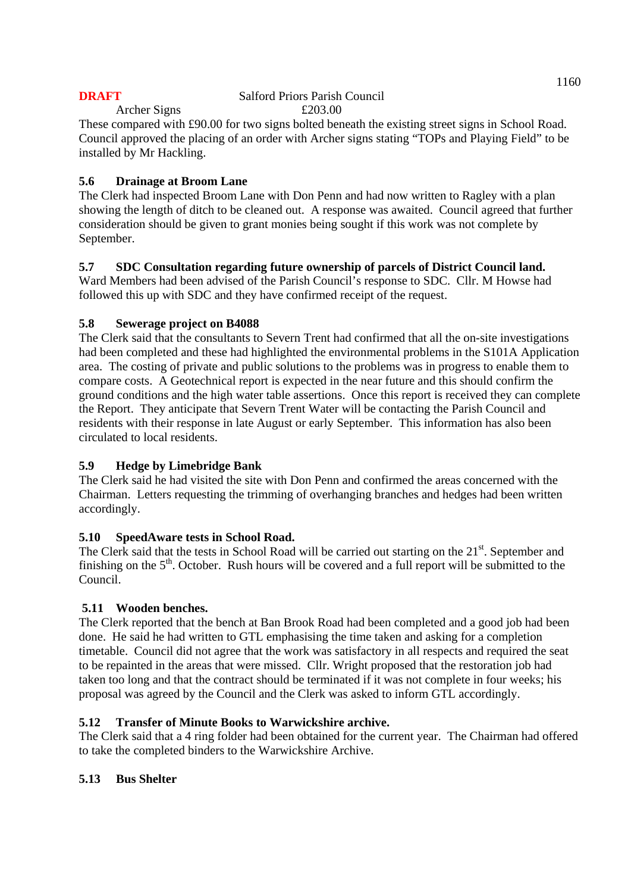## **DRAFT** Salford Priors Parish Council Archer Signs  $£203.00$

These compared with £90.00 for two signs bolted beneath the existing street signs in School Road. Council approved the placing of an order with Archer signs stating "TOPs and Playing Field" to be installed by Mr Hackling.

## **5.6 Drainage at Broom Lane**

The Clerk had inspected Broom Lane with Don Penn and had now written to Ragley with a plan showing the length of ditch to be cleaned out. A response was awaited. Council agreed that further consideration should be given to grant monies being sought if this work was not complete by September.

# **5.7 SDC Consultation regarding future ownership of parcels of District Council land.**

Ward Members had been advised of the Parish Council's response to SDC. Cllr. M Howse had followed this up with SDC and they have confirmed receipt of the request.

## **5.8 Sewerage project on B4088**

The Clerk said that the consultants to Severn Trent had confirmed that all the on-site investigations had been completed and these had highlighted the environmental problems in the S101A Application area. The costing of private and public solutions to the problems was in progress to enable them to compare costs. A Geotechnical report is expected in the near future and this should confirm the ground conditions and the high water table assertions. Once this report is received they can complete the Report. They anticipate that Severn Trent Water will be contacting the Parish Council and residents with their response in late August or early September. This information has also been circulated to local residents.

# **5.9 Hedge by Limebridge Bank**

The Clerk said he had visited the site with Don Penn and confirmed the areas concerned with the Chairman. Letters requesting the trimming of overhanging branches and hedges had been written accordingly.

## **5.10 SpeedAware tests in School Road.**

The Clerk said that the tests in School Road will be carried out starting on the 21<sup>st</sup>. September and finishing on the  $5<sup>th</sup>$ . October. Rush hours will be covered and a full report will be submitted to the Council.

## **5.11 Wooden benches.**

The Clerk reported that the bench at Ban Brook Road had been completed and a good job had been done. He said he had written to GTL emphasising the time taken and asking for a completion timetable. Council did not agree that the work was satisfactory in all respects and required the seat to be repainted in the areas that were missed. Cllr. Wright proposed that the restoration job had taken too long and that the contract should be terminated if it was not complete in four weeks; his proposal was agreed by the Council and the Clerk was asked to inform GTL accordingly.

## **5.12 Transfer of Minute Books to Warwickshire archive.**

The Clerk said that a 4 ring folder had been obtained for the current year. The Chairman had offered to take the completed binders to the Warwickshire Archive.

# **5.13 Bus Shelter**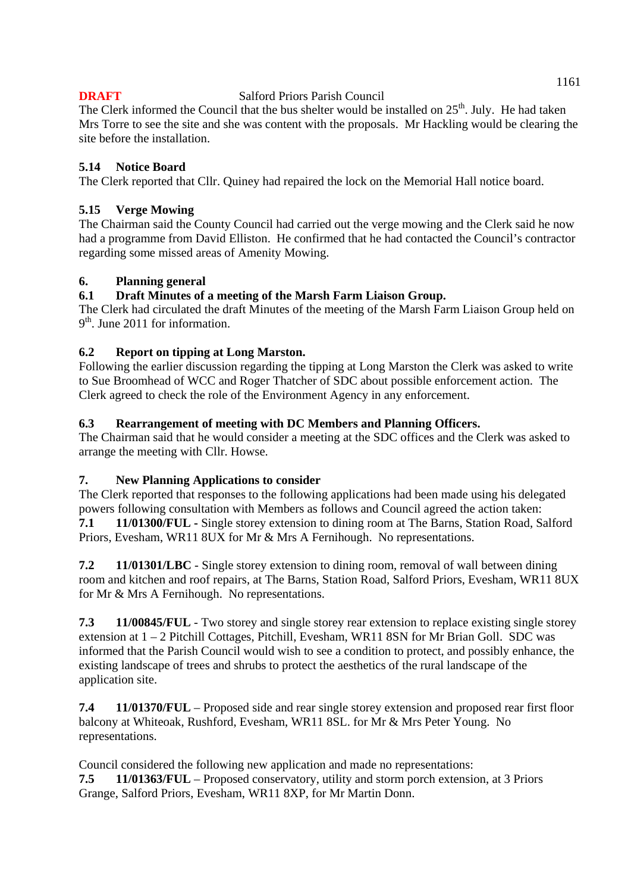The Clerk informed the Council that the bus shelter would be installed on  $25<sup>th</sup>$ . July. He had taken Mrs Torre to see the site and she was content with the proposals. Mr Hackling would be clearing the site before the installation.

## **5.14 Notice Board**

The Clerk reported that Cllr. Quiney had repaired the lock on the Memorial Hall notice board.

## **5.15 Verge Mowing**

The Chairman said the County Council had carried out the verge mowing and the Clerk said he now had a programme from David Elliston. He confirmed that he had contacted the Council's contractor regarding some missed areas of Amenity Mowing.

## **6. Planning general**

## **6.1 Draft Minutes of a meeting of the Marsh Farm Liaison Group.**

The Clerk had circulated the draft Minutes of the meeting of the Marsh Farm Liaison Group held on  $9<sup>th</sup>$ . June 2011 for information.

## **6.2 Report on tipping at Long Marston.**

Following the earlier discussion regarding the tipping at Long Marston the Clerk was asked to write to Sue Broomhead of WCC and Roger Thatcher of SDC about possible enforcement action. The Clerk agreed to check the role of the Environment Agency in any enforcement.

## **6.3 Rearrangement of meeting with DC Members and Planning Officers.**

The Chairman said that he would consider a meeting at the SDC offices and the Clerk was asked to arrange the meeting with Cllr. Howse.

## **7. New Planning Applications to consider**

The Clerk reported that responses to the following applications had been made using his delegated powers following consultation with Members as follows and Council agreed the action taken: **7.1 11/01300/FUL -** Single storey extension to dining room at The Barns, Station Road, Salford Priors, Evesham, WR11 8UX for Mr & Mrs A Fernihough. No representations.

**7.2 11/01301/LBC** - Single storey extension to dining room, removal of wall between dining room and kitchen and roof repairs, at The Barns, Station Road, Salford Priors, Evesham, WR11 8UX for Mr & Mrs A Fernihough. No representations.

**7.3 11/00845/FUL** - Two storey and single storey rear extension to replace existing single storey extension at 1 – 2 Pitchill Cottages, Pitchill, Evesham, WR11 8SN for Mr Brian Goll. SDC was informed that the Parish Council would wish to see a condition to protect, and possibly enhance, the existing landscape of trees and shrubs to protect the aesthetics of the rural landscape of the application site.

**7.4 11/01370/FUL** – Proposed side and rear single storey extension and proposed rear first floor balcony at Whiteoak, Rushford, Evesham, WR11 8SL. for Mr & Mrs Peter Young. No representations.

Council considered the following new application and made no representations: **7.5 11/01363/FUL** – Proposed conservatory, utility and storm porch extension, at 3 Priors Grange, Salford Priors, Evesham, WR11 8XP, for Mr Martin Donn.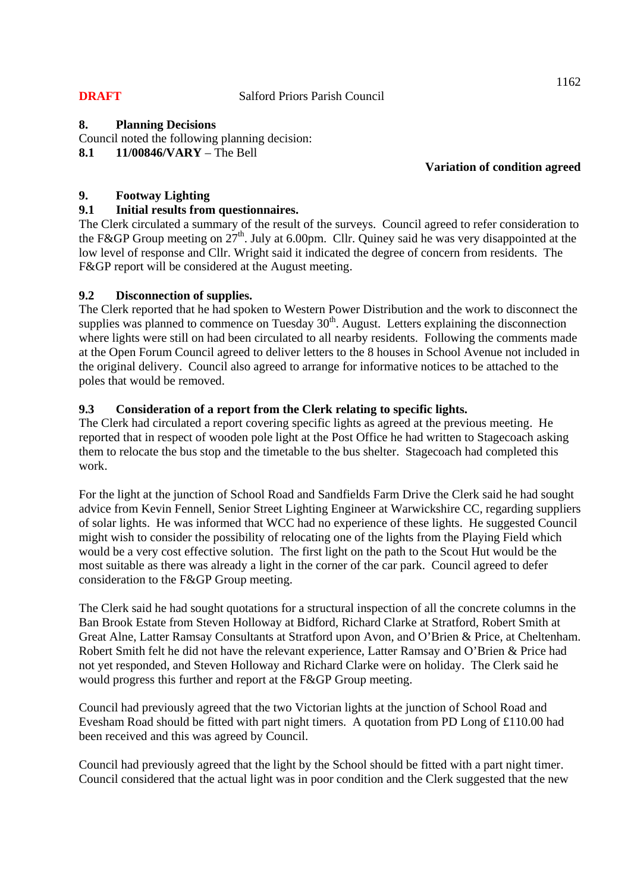## **8. Planning Decisions**

Council noted the following planning decision:

**8.1 11/00846/VARY** – The Bell

## **Variation of condition agreed**

## **9. Footway Lighting**

## **9.1 Initial results from questionnaires.**

The Clerk circulated a summary of the result of the surveys. Council agreed to refer consideration to the F&GP Group meeting on  $27<sup>th</sup>$ . July at 6.00pm. Cllr. Quiney said he was very disappointed at the low level of response and Cllr. Wright said it indicated the degree of concern from residents. The F&GP report will be considered at the August meeting.

## **9.2 Disconnection of supplies.**

The Clerk reported that he had spoken to Western Power Distribution and the work to disconnect the supplies was planned to commence on Tuesday  $30<sup>th</sup>$ . August. Letters explaining the disconnection where lights were still on had been circulated to all nearby residents. Following the comments made at the Open Forum Council agreed to deliver letters to the 8 houses in School Avenue not included in the original delivery. Council also agreed to arrange for informative notices to be attached to the poles that would be removed.

## **9.3 Consideration of a report from the Clerk relating to specific lights.**

The Clerk had circulated a report covering specific lights as agreed at the previous meeting. He reported that in respect of wooden pole light at the Post Office he had written to Stagecoach asking them to relocate the bus stop and the timetable to the bus shelter. Stagecoach had completed this work.

For the light at the junction of School Road and Sandfields Farm Drive the Clerk said he had sought advice from Kevin Fennell, Senior Street Lighting Engineer at Warwickshire CC, regarding suppliers of solar lights. He was informed that WCC had no experience of these lights. He suggested Council might wish to consider the possibility of relocating one of the lights from the Playing Field which would be a very cost effective solution. The first light on the path to the Scout Hut would be the most suitable as there was already a light in the corner of the car park. Council agreed to defer consideration to the F&GP Group meeting.

The Clerk said he had sought quotations for a structural inspection of all the concrete columns in the Ban Brook Estate from Steven Holloway at Bidford, Richard Clarke at Stratford, Robert Smith at Great Alne, Latter Ramsay Consultants at Stratford upon Avon, and O'Brien & Price, at Cheltenham. Robert Smith felt he did not have the relevant experience, Latter Ramsay and O'Brien & Price had not yet responded, and Steven Holloway and Richard Clarke were on holiday. The Clerk said he would progress this further and report at the F&GP Group meeting.

Council had previously agreed that the two Victorian lights at the junction of School Road and Evesham Road should be fitted with part night timers. A quotation from PD Long of £110.00 had been received and this was agreed by Council.

Council had previously agreed that the light by the School should be fitted with a part night timer. Council considered that the actual light was in poor condition and the Clerk suggested that the new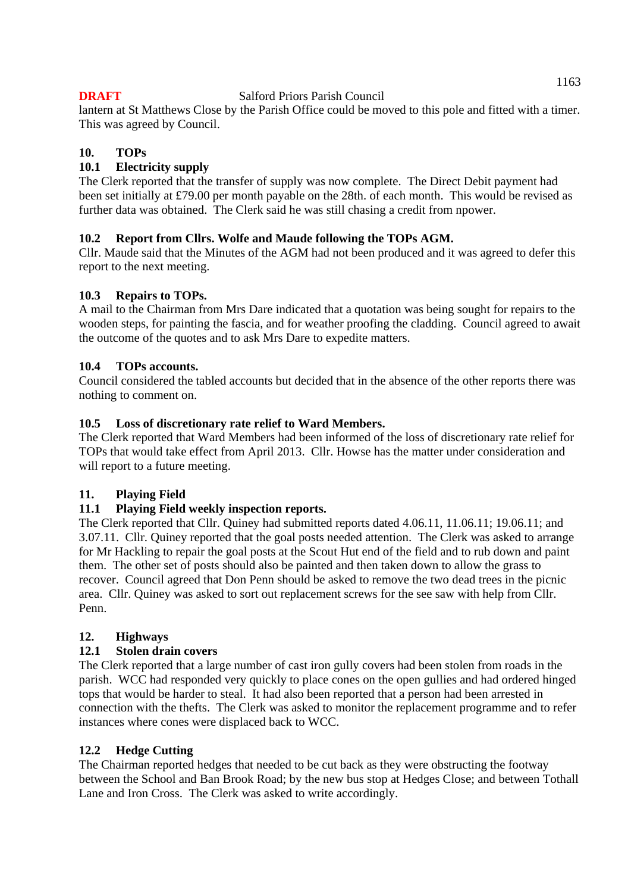## **10. TOPs**

## **10.1 Electricity supply**

The Clerk reported that the transfer of supply was now complete. The Direct Debit payment had been set initially at £79.00 per month payable on the 28th. of each month. This would be revised as further data was obtained. The Clerk said he was still chasing a credit from npower.

## **10.2 Report from Cllrs. Wolfe and Maude following the TOPs AGM.**

Cllr. Maude said that the Minutes of the AGM had not been produced and it was agreed to defer this report to the next meeting.

## **10.3 Repairs to TOPs.**

A mail to the Chairman from Mrs Dare indicated that a quotation was being sought for repairs to the wooden steps, for painting the fascia, and for weather proofing the cladding. Council agreed to await the outcome of the quotes and to ask Mrs Dare to expedite matters.

## **10.4 TOPs accounts.**

Council considered the tabled accounts but decided that in the absence of the other reports there was nothing to comment on.

## **10.5 Loss of discretionary rate relief to Ward Members.**

The Clerk reported that Ward Members had been informed of the loss of discretionary rate relief for TOPs that would take effect from April 2013. Cllr. Howse has the matter under consideration and will report to a future meeting.

## **11. Playing Field**

## **11.1 Playing Field weekly inspection reports.**

The Clerk reported that Cllr. Quiney had submitted reports dated 4.06.11, 11.06.11; 19.06.11; and 3.07.11. Cllr. Quiney reported that the goal posts needed attention. The Clerk was asked to arrange for Mr Hackling to repair the goal posts at the Scout Hut end of the field and to rub down and paint them. The other set of posts should also be painted and then taken down to allow the grass to recover. Council agreed that Don Penn should be asked to remove the two dead trees in the picnic area. Cllr. Quiney was asked to sort out replacement screws for the see saw with help from Cllr. Penn.

## **12. Highways**

## **12.1 Stolen drain covers**

The Clerk reported that a large number of cast iron gully covers had been stolen from roads in the parish. WCC had responded very quickly to place cones on the open gullies and had ordered hinged tops that would be harder to steal. It had also been reported that a person had been arrested in connection with the thefts. The Clerk was asked to monitor the replacement programme and to refer instances where cones were displaced back to WCC.

## **12.2 Hedge Cutting**

The Chairman reported hedges that needed to be cut back as they were obstructing the footway between the School and Ban Brook Road; by the new bus stop at Hedges Close; and between Tothall Lane and Iron Cross. The Clerk was asked to write accordingly.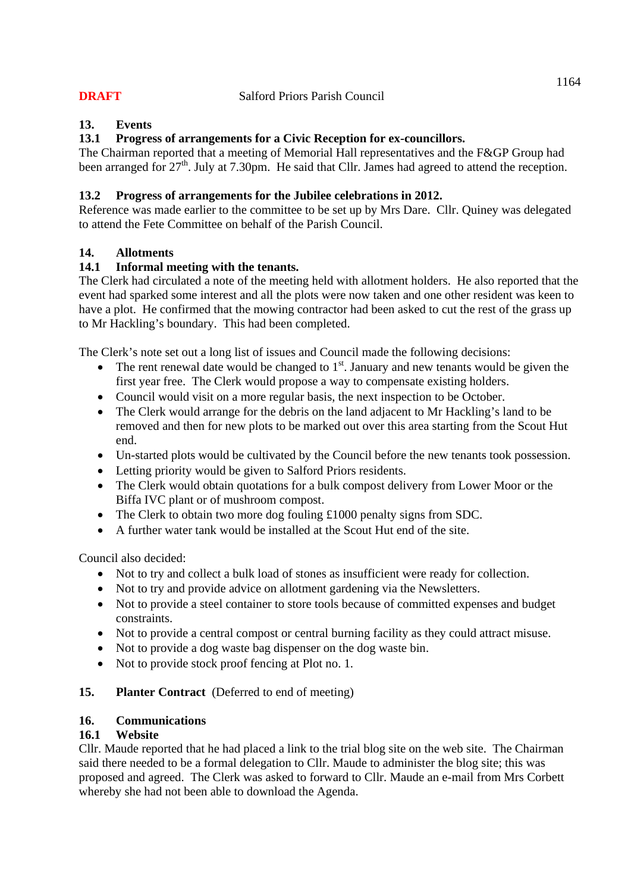## **13. Events**

## **13.1 Progress of arrangements for a Civic Reception for ex-councillors.**

The Chairman reported that a meeting of Memorial Hall representatives and the F&GP Group had been arranged for  $27<sup>th</sup>$ . July at 7.30pm. He said that Cllr. James had agreed to attend the reception.

## **13.2 Progress of arrangements for the Jubilee celebrations in 2012.**

Reference was made earlier to the committee to be set up by Mrs Dare. Cllr. Quiney was delegated to attend the Fete Committee on behalf of the Parish Council.

## **14. Allotments**

#### **14.1 Informal meeting with the tenants.**

The Clerk had circulated a note of the meeting held with allotment holders. He also reported that the event had sparked some interest and all the plots were now taken and one other resident was keen to have a plot. He confirmed that the mowing contractor had been asked to cut the rest of the grass up to Mr Hackling's boundary. This had been completed.

The Clerk's note set out a long list of issues and Council made the following decisions:

- The rent renewal date would be changed to  $1<sup>st</sup>$ . January and new tenants would be given the first year free. The Clerk would propose a way to compensate existing holders.
- Council would visit on a more regular basis, the next inspection to be October.
- The Clerk would arrange for the debris on the land adjacent to Mr Hackling's land to be removed and then for new plots to be marked out over this area starting from the Scout Hut end.
- Un-started plots would be cultivated by the Council before the new tenants took possession.
- Letting priority would be given to Salford Priors residents.
- The Clerk would obtain quotations for a bulk compost delivery from Lower Moor or the Biffa IVC plant or of mushroom compost.
- The Clerk to obtain two more dog fouling £1000 penalty signs from SDC.
- A further water tank would be installed at the Scout Hut end of the site.

Council also decided:

- Not to try and collect a bulk load of stones as insufficient were ready for collection.
- Not to try and provide advice on allotment gardening via the Newsletters.
- Not to provide a steel container to store tools because of committed expenses and budget constraints.
- Not to provide a central compost or central burning facility as they could attract misuse.
- Not to provide a dog waste bag dispenser on the dog waste bin.
- Not to provide stock proof fencing at Plot no. 1.

## 15. **Planter Contract** (Deferred to end of meeting)

## **16. Communications**

## **16.1 Website**

Cllr. Maude reported that he had placed a link to the trial blog site on the web site. The Chairman said there needed to be a formal delegation to Cllr. Maude to administer the blog site; this was proposed and agreed. The Clerk was asked to forward to Cllr. Maude an e-mail from Mrs Corbett whereby she had not been able to download the Agenda.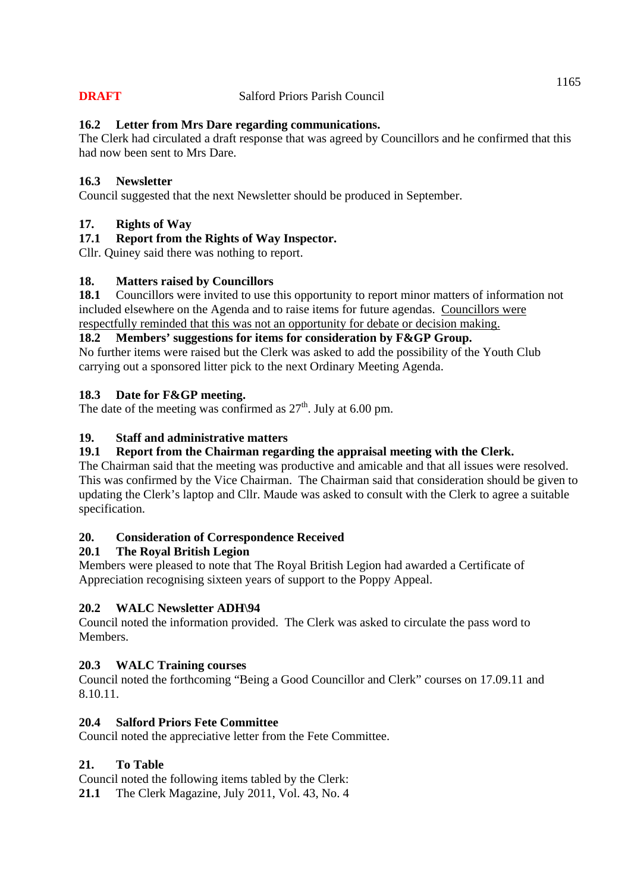## **16.2 Letter from Mrs Dare regarding communications.**

The Clerk had circulated a draft response that was agreed by Councillors and he confirmed that this had now been sent to Mrs Dare.

## **16.3 Newsletter**

Council suggested that the next Newsletter should be produced in September.

## **17. Rights of Way**

# **17.1 Report from the Rights of Way Inspector.**

Cllr. Quiney said there was nothing to report.

## **18. Matters raised by Councillors**

**18.1** Councillors were invited to use this opportunity to report minor matters of information not included elsewhere on the Agenda and to raise items for future agendas. Councillors were respectfully reminded that this was not an opportunity for debate or decision making.

## **18.2 Members' suggestions for items for consideration by F&GP Group.**

No further items were raised but the Clerk was asked to add the possibility of the Youth Club carrying out a sponsored litter pick to the next Ordinary Meeting Agenda.

## **18.3 Date for F&GP meeting.**

The date of the meeting was confirmed as  $27<sup>th</sup>$ . July at 6.00 pm.

## **19. Staff and administrative matters**

# **19.1 Report from the Chairman regarding the appraisal meeting with the Clerk.**

The Chairman said that the meeting was productive and amicable and that all issues were resolved. This was confirmed by the Vice Chairman. The Chairman said that consideration should be given to updating the Clerk's laptop and Cllr. Maude was asked to consult with the Clerk to agree a suitable specification.

# **20. Consideration of Correspondence Received**

## **20.1 The Royal British Legion**

Members were pleased to note that The Royal British Legion had awarded a Certificate of Appreciation recognising sixteen years of support to the Poppy Appeal.

# **20.2 WALC Newsletter ADH\94**

Council noted the information provided. The Clerk was asked to circulate the pass word to Members.

# **20.3 WALC Training courses**

Council noted the forthcoming "Being a Good Councillor and Clerk" courses on 17.09.11 and 8.10.11.

# **20.4 Salford Priors Fete Committee**

Council noted the appreciative letter from the Fete Committee.

## **21. To Table**

Council noted the following items tabled by the Clerk:

**21.1** The Clerk Magazine, July 2011, Vol. 43, No. 4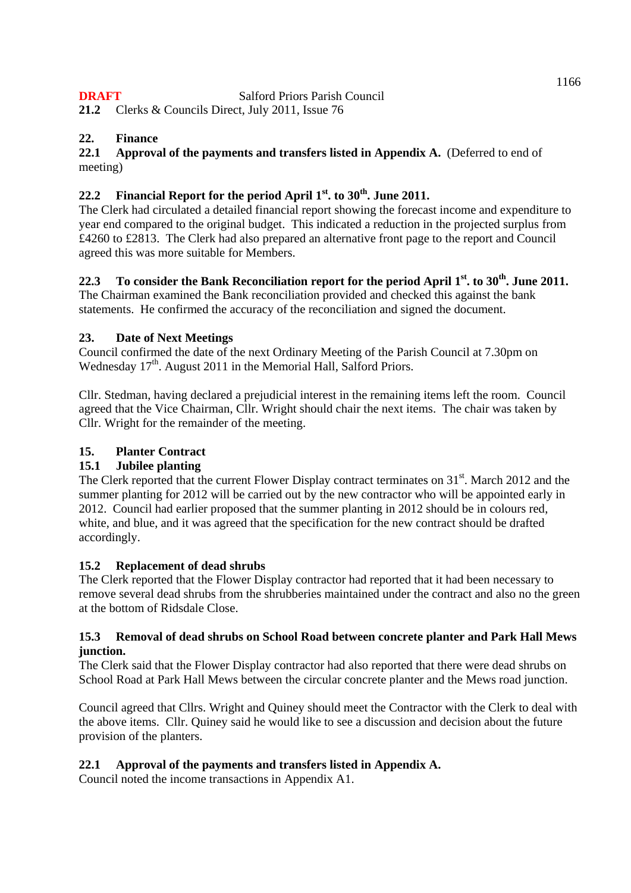**21.2** Clerks & Councils Direct, July 2011, Issue 76

## **22. Finance**

22.1 Approval of the payments and transfers listed in Appendix A. (Deferred to end of meeting)

# 22.2 Financial Report for the period April 1<sup>st</sup>. to 30<sup>th</sup>. June 2011.

The Clerk had circulated a detailed financial report showing the forecast income and expenditure to year end compared to the original budget. This indicated a reduction in the projected surplus from £4260 to £2813. The Clerk had also prepared an alternative front page to the report and Council agreed this was more suitable for Members.

# **22.3 To consider the Bank Reconciliation report for the period April 1st. to 30th. June 2011.**

The Chairman examined the Bank reconciliation provided and checked this against the bank statements. He confirmed the accuracy of the reconciliation and signed the document.

# **23. Date of Next Meetings**

Council confirmed the date of the next Ordinary Meeting of the Parish Council at 7.30pm on Wednesday  $17<sup>th</sup>$ . August 2011 in the Memorial Hall, Salford Priors.

Cllr. Stedman, having declared a prejudicial interest in the remaining items left the room. Council agreed that the Vice Chairman, Cllr. Wright should chair the next items. The chair was taken by Cllr. Wright for the remainder of the meeting.

# **15. Planter Contract**

# **15.1 Jubilee planting**

The Clerk reported that the current Flower Display contract terminates on  $31<sup>st</sup>$ . March 2012 and the summer planting for 2012 will be carried out by the new contractor who will be appointed early in 2012. Council had earlier proposed that the summer planting in 2012 should be in colours red, white, and blue, and it was agreed that the specification for the new contract should be drafted accordingly.

# **15.2 Replacement of dead shrubs**

The Clerk reported that the Flower Display contractor had reported that it had been necessary to remove several dead shrubs from the shrubberies maintained under the contract and also no the green at the bottom of Ridsdale Close.

## **15.3 Removal of dead shrubs on School Road between concrete planter and Park Hall Mews junction.**

The Clerk said that the Flower Display contractor had also reported that there were dead shrubs on School Road at Park Hall Mews between the circular concrete planter and the Mews road junction.

Council agreed that Cllrs. Wright and Quiney should meet the Contractor with the Clerk to deal with the above items. Cllr. Quiney said he would like to see a discussion and decision about the future provision of the planters.

# **22.1 Approval of the payments and transfers listed in Appendix A.**

Council noted the income transactions in Appendix A1.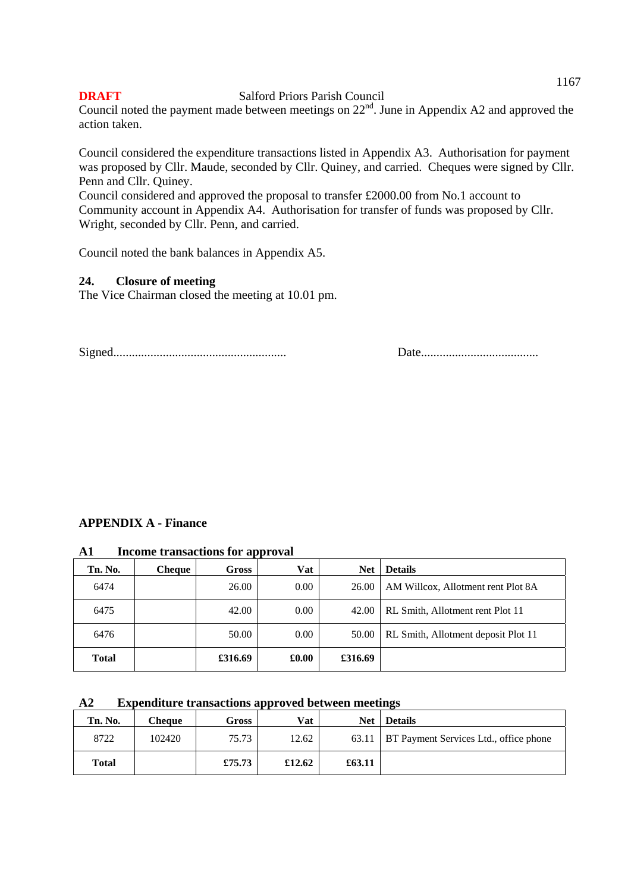Council noted the payment made between meetings on  $22<sup>nd</sup>$ . June in Appendix A2 and approved the action taken.

Council considered the expenditure transactions listed in Appendix A3. Authorisation for payment was proposed by Cllr. Maude, seconded by Cllr. Quiney, and carried. Cheques were signed by Cllr. Penn and Cllr. Quiney.

Council considered and approved the proposal to transfer £2000.00 from No.1 account to Community account in Appendix A4. Authorisation for transfer of funds was proposed by Cllr. Wright, seconded by Cllr. Penn, and carried.

Council noted the bank balances in Appendix A5.

#### **24. Closure of meeting**

The Vice Chairman closed the meeting at 10.01 pm.

Signed........................................................ Date......................................

## **APPENDIX A - Finance**

**A1 Income transactions for approval** 

| Tn. No.      | <b>Cheque</b> | Gross   | Vat   | <b>Net</b> | <b>Details</b>                      |
|--------------|---------------|---------|-------|------------|-------------------------------------|
| 6474         |               | 26.00   | 0.00  | 26.00      | AM Willcox, Allotment rent Plot 8A  |
| 6475         |               | 42.00   | 0.00  | 42.00      | RL Smith, Allotment rent Plot 11    |
| 6476         |               | 50.00   | 0.00  | 50.00      | RL Smith, Allotment deposit Plot 11 |
| <b>Total</b> |               | £316.69 | £0.00 | £316.69    |                                     |

## **A2 Expenditure transactions approved between meetings**

| Tn. No.      | Cheque | Gross  | Vat    | Net    | <b>Details</b>                                 |
|--------------|--------|--------|--------|--------|------------------------------------------------|
| 8722         | 102420 | 75.73  | 12.62  |        | 63.11   BT Payment Services Ltd., office phone |
| <b>Total</b> |        | £75.73 | £12.62 | £63.11 |                                                |